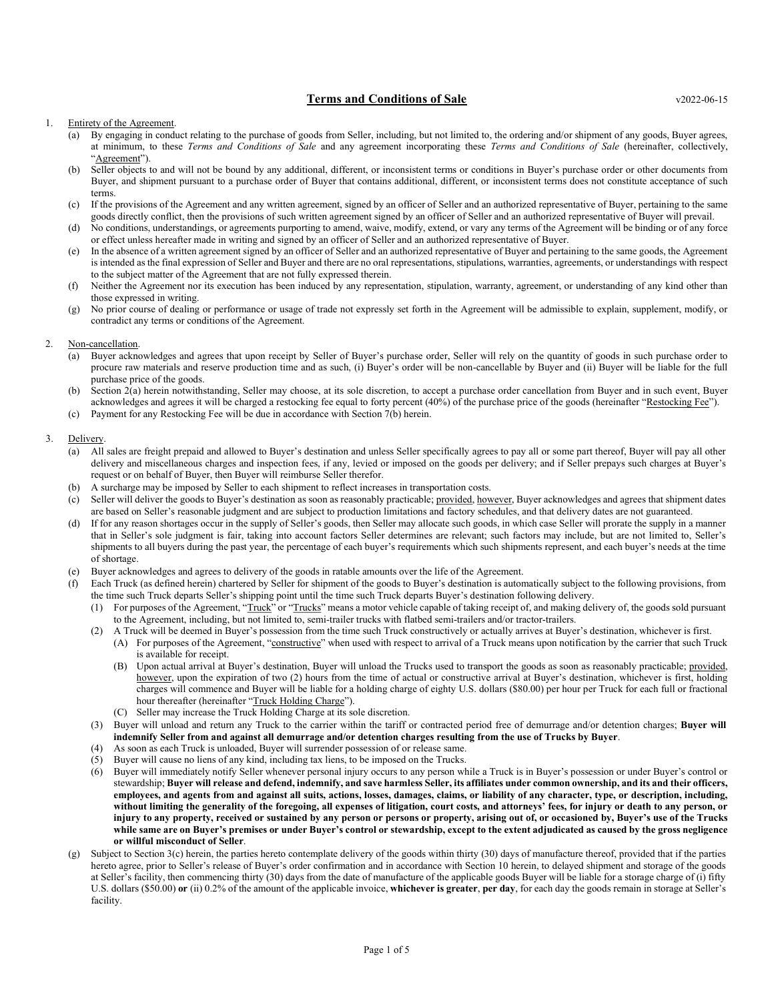# Terms and Conditions of Sale v2022-06-15

- (a) By engaging in conduct relating to the purchase of goods from Seller, including, but not limited to, the ordering and/or shipment of any goods, Buyer agrees, at minimum, to these Terms and Conditions of Sale and any agreement incorporating these Terms and Conditions of Sale (hereinafter, collectively, "Agreement").
- (b) Seller objects to and will not be bound by any additional, different, or inconsistent terms or conditions in Buyer's purchase order or other documents from Buyer, and shipment pursuant to a purchase order of Buyer that contains additional, different, or inconsistent terms does not constitute acceptance of such terms.
- (c) If the provisions of the Agreement and any written agreement, signed by an officer of Seller and an authorized representative of Buyer, pertaining to the same goods directly conflict, then the provisions of such written agreement signed by an officer of Seller and an authorized representative of Buyer will prevail.
- (d) No conditions, understandings, or agreements purporting to amend, waive, modify, extend, or vary any terms of the Agreement will be binding or of any force or effect unless hereafter made in writing and signed by an officer of Seller and an authorized representative of Buyer.
- (e) In the absence of a written agreement signed by an officer of Seller and an authorized representative of Buyer and pertaining to the same goods, the Agreement is intended as the final expression of Seller and Buyer and there are no oral representations, stipulations, warranties, agreements, or understandings with respect to the subject matter of the Agreement that are not fully expressed therein.
- (f) Neither the Agreement nor its execution has been induced by any representation, stipulation, warranty, agreement, or understanding of any kind other than those expressed in writing.
- (g) No prior course of dealing or performance or usage of trade not expressly set forth in the Agreement will be admissible to explain, supplement, modify, or contradict any terms or conditions of the Agreement.

#### 2. Non-cancellation.

- (a) Buyer acknowledges and agrees that upon receipt by Seller of Buyer's purchase order, Seller will rely on the quantity of goods in such purchase order to procure raw materials and reserve production time and as such, (i) Buyer's order will be non-cancellable by Buyer and (ii) Buyer will be liable for the full purchase price of the goods.
- (b) Section 2(a) herein notwithstanding, Seller may choose, at its sole discretion, to accept a purchase order cancellation from Buyer and in such event, Buyer acknowledges and agrees it will be charged a restocking fee equal to forty percent (40%) of the purchase price of the goods (hereinafter "Restocking Fee").
- (c) Payment for any Restocking Fee will be due in accordance with Section 7(b) herein.

#### 3. Delivery.

- (a) All sales are freight prepaid and allowed to Buyer's destination and unless Seller specifically agrees to pay all or some part thereof, Buyer will pay all other delivery and miscellaneous charges and inspection fees, if any, levied or imposed on the goods per delivery; and if Seller prepays such charges at Buyer's request or on behalf of Buyer, then Buyer will reimburse Seller therefor.
- (b) A surcharge may be imposed by Seller to each shipment to reflect increases in transportation costs.
- (c) Seller will deliver the goods to Buyer's destination as soon as reasonably practicable; provided, however, Buyer acknowledges and agrees that shipment dates are based on Seller's reasonable judgment and are subject to production limitations and factory schedules, and that delivery dates are not guaranteed.
- (d) If for any reason shortages occur in the supply of Seller's goods, then Seller may allocate such goods, in which case Seller will prorate the supply in a manner that in Seller's sole judgment is fair, taking into account factors Seller determines are relevant; such factors may include, but are not limited to, Seller's shipments to all buyers during the past year, the percentage of each buyer's requirements which such shipments represent, and each buyer's needs at the time of shortage.
- (e) Buyer acknowledges and agrees to delivery of the goods in ratable amounts over the life of the Agreement.
- Each Truck (as defined herein) chartered by Seller for shipment of the goods to Buyer's destination is automatically subject to the following provisions, from the time such Truck departs Seller's shipping point until the time such Truck departs Buyer's destination following delivery.
	- (1) For purposes of the Agreement, "Truck" or "Trucks" means a motor vehicle capable of taking receipt of, and making delivery of, the goods sold pursuant to the Agreement, including, but not limited to, semi-trailer trucks with flatbed semi-trailers and/or tractor-trailers.
	- (2) A Truck will be deemed in Buyer's possession from the time such Truck constructively or actually arrives at Buyer's destination, whichever is first.
		- (A) For purposes of the Agreement, "constructive" when used with respect to arrival of a Truck means upon notification by the carrier that such Truck is available for receipt.
			- (B) Upon actual arrival at Buyer's destination, Buyer will unload the Trucks used to transport the goods as soon as reasonably practicable; provided, however, upon the expiration of two (2) hours from the time of actual or constructive arrival at Buyer's destination, whichever is first, holding charges will commence and Buyer will be liable for a holding charge of eighty U.S. dollars (\$80.00) per hour per Truck for each full or fractional hour thereafter (hereinafter "Truck Holding Charge").
			- (C) Seller may increase the Truck Holding Charge at its sole discretion.
	- (3) Buyer will unload and return any Truck to the carrier within the tariff or contracted period free of demurrage and/or detention charges; Buyer will indemnify Seller from and against all demurrage and/or detention charges resulting from the use of Trucks by Buyer.
	- (4) As soon as each Truck is unloaded, Buyer will surrender possession of or release same.
	- (5) Buyer will cause no liens of any kind, including tax liens, to be imposed on the Trucks.
	- (6) Buyer will immediately notify Seller whenever personal injury occurs to any person while a Truck is in Buyer's possession or under Buyer's control or stewardship; Buyer will release and defend, indemnify, and save harmless Seller, its affiliates under common ownership, and its and their officers, employees, and agents from and against all suits, actions, losses, damages, claims, or liability of any character, type, or description, including, without limiting the generality of the foregoing, all expenses of litigation, court costs, and attorneys' fees, for injury or death to any person, or injury to any property, received or sustained by any person or persons or property, arising out of, or occasioned by, Buyer's use of the Trucks while same are on Buyer's premises or under Buyer's control or stewardship, except to the extent adjudicated as caused by the gross negligence or willful misconduct of Seller.
- (g) Subject to Section 3(c) herein, the parties hereto contemplate delivery of the goods within thirty (30) days of manufacture thereof, provided that if the parties hereto agree, prior to Seller's release of Buyer's order confirmation and in accordance with Section 10 herein, to delayed shipment and storage of the goods at Seller's facility, then commencing thirty (30) days from the date of manufacture of the applicable goods Buyer will be liable for a storage charge of (i) fifty U.S. dollars (\$50.00) or (ii) 0.2% of the amount of the applicable invoice, whichever is greater, per day, for each day the goods remain in storage at Seller's facility.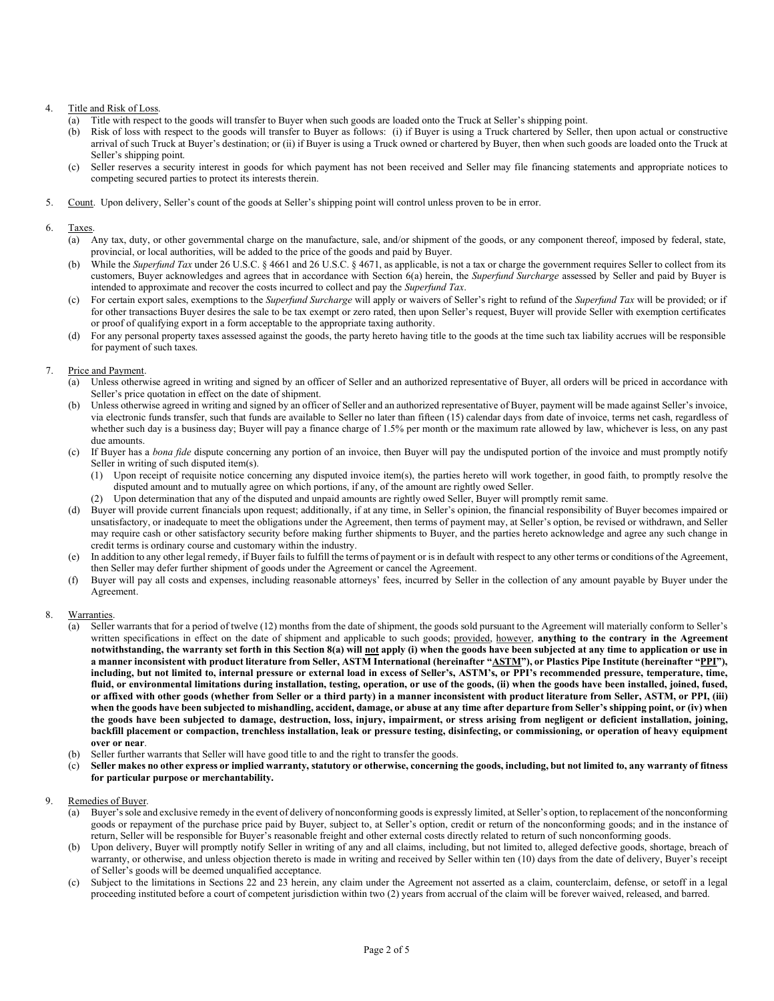# 4. Title and Risk of Loss.

- (a) Title with respect to the goods will transfer to Buyer when such goods are loaded onto the Truck at Seller's shipping point.
- (b) Risk of loss with respect to the goods will transfer to Buyer as follows: (i) if Buyer is using a Truck chartered by Seller, then upon actual or constructive arrival of such Truck at Buyer's destination; or (ii) if Buyer is using a Truck owned or chartered by Buyer, then when such goods are loaded onto the Truck at Seller's shipping point.
- (c) Seller reserves a security interest in goods for which payment has not been received and Seller may file financing statements and appropriate notices to competing secured parties to protect its interests therein.
- 5. Count. Upon delivery, Seller's count of the goods at Seller's shipping point will control unless proven to be in error.

### 6. Taxes.

- (a) Any tax, duty, or other governmental charge on the manufacture, sale, and/or shipment of the goods, or any component thereof, imposed by federal, state, provincial, or local authorities, will be added to the price of the goods and paid by Buyer.
- (b) While the *Superfund Tax* under 26 U.S.C. § 4661 and 26 U.S.C. § 4671, as applicable, is not a tax or charge the government requires Seller to collect from its customers, Buyer acknowledges and agrees that in accordance with Section 6(a) herein, the Superfund Surcharge assessed by Seller and paid by Buyer is intended to approximate and recover the costs incurred to collect and pay the Superfund Tax.
- (c) For certain export sales, exemptions to the Superfund Surcharge will apply or waivers of Seller's right to refund of the Superfund Tax will be provided; or if for other transactions Buyer desires the sale to be tax exempt or zero rated, then upon Seller's request, Buyer will provide Seller with exemption certificates or proof of qualifying export in a form acceptable to the appropriate taxing authority.
- (d) For any personal property taxes assessed against the goods, the party hereto having title to the goods at the time such tax liability accrues will be responsible for payment of such taxes.

### 7. Price and Payment.

- (a) Unless otherwise agreed in writing and signed by an officer of Seller and an authorized representative of Buyer, all orders will be priced in accordance with Seller's price quotation in effect on the date of shipment.
- (b) Unless otherwise agreed in writing and signed by an officer of Seller and an authorized representative of Buyer, payment will be made against Seller's invoice, via electronic funds transfer, such that funds are available to Seller no later than fifteen (15) calendar days from date of invoice, terms net cash, regardless of whether such day is a business day; Buyer will pay a finance charge of 1.5% per month or the maximum rate allowed by law, whichever is less, on any past due amounts.
- (c) If Buyer has a bona fide dispute concerning any portion of an invoice, then Buyer will pay the undisputed portion of the invoice and must promptly notify Seller in writing of such disputed item(s).
	- (1) Upon receipt of requisite notice concerning any disputed invoice item(s), the parties hereto will work together, in good faith, to promptly resolve the disputed amount and to mutually agree on which portions, if any, of the amount are rightly owed Seller.
	- (2) Upon determination that any of the disputed and unpaid amounts are rightly owed Seller, Buyer will promptly remit same.
- (d) Buyer will provide current financials upon request; additionally, if at any time, in Seller's opinion, the financial responsibility of Buyer becomes impaired or unsatisfactory, or inadequate to meet the obligations under the Agreement, then terms of payment may, at Seller's option, be revised or withdrawn, and Seller may require cash or other satisfactory security before making further shipments to Buyer, and the parties hereto acknowledge and agree any such change in credit terms is ordinary course and customary within the industry.
- (e) In addition to any other legal remedy, if Buyer fails to fulfill the terms of payment or is in default with respect to any other terms or conditions of the Agreement, then Seller may defer further shipment of goods under the Agreement or cancel the Agreement.
- (f) Buyer will pay all costs and expenses, including reasonable attorneys' fees, incurred by Seller in the collection of any amount payable by Buyer under the Agreement.

### 8. Warranties.

- (a) Seller warrants that for a period of twelve (12) months from the date of shipment, the goods sold pursuant to the Agreement will materially conform to Seller's written specifications in effect on the date of shipment and applicable to such goods; provided, however, anything to the contrary in the Agreement notwithstanding, the warranty set forth in this Section 8(a) will not apply (i) when the goods have been subjected at any time to application or use in a manner inconsistent with product literature from Seller, ASTM International (hereinafter "ASTM"), or Plastics Pipe Institute (hereinafter "PPI"), including, but not limited to, internal pressure or external load in excess of Seller's, ASTM's, or PPI's recommended pressure, temperature, time, fluid, or environmental limitations during installation, testing, operation, or use of the goods, (ii) when the goods have been installed, joined, fused, or affixed with other goods (whether from Seller or a third party) in a manner inconsistent with product literature from Seller, ASTM, or PPI, (iii) when the goods have been subjected to mishandling, accident, damage, or abuse at any time after departure from Seller's shipping point, or (iv) when the goods have been subjected to damage, destruction, loss, injury, impairment, or stress arising from negligent or deficient installation, joining, backfill placement or compaction, trenchless installation, leak or pressure testing, disinfecting, or commissioning, or operation of heavy equipment over or near.
- (b) Seller further warrants that Seller will have good title to and the right to transfer the goods.
- (c) Seller makes no other express or implied warranty, statutory or otherwise, concerning the goods, including, but not limited to, any warranty of fitness for particular purpose or merchantability.

### 9. Remedies of Buyer.

- (a) Buyer's sole and exclusive remedy in the event of delivery of nonconforming goods is expressly limited, at Seller's option, to replacement of the nonconforming goods or repayment of the purchase price paid by Buyer, subject to, at Seller's option, credit or return of the nonconforming goods; and in the instance of return, Seller will be responsible for Buyer's reasonable freight and other external costs directly related to return of such nonconforming goods.
- (b) Upon delivery, Buyer will promptly notify Seller in writing of any and all claims, including, but not limited to, alleged defective goods, shortage, breach of warranty, or otherwise, and unless objection thereto is made in writing and received by Seller within ten (10) days from the date of delivery, Buyer's receipt of Seller's goods will be deemed unqualified acceptance.
- (c) Subject to the limitations in Sections 22 and 23 herein, any claim under the Agreement not asserted as a claim, counterclaim, defense, or setoff in a legal proceeding instituted before a court of competent jurisdiction within two (2) years from accrual of the claim will be forever waived, released, and barred.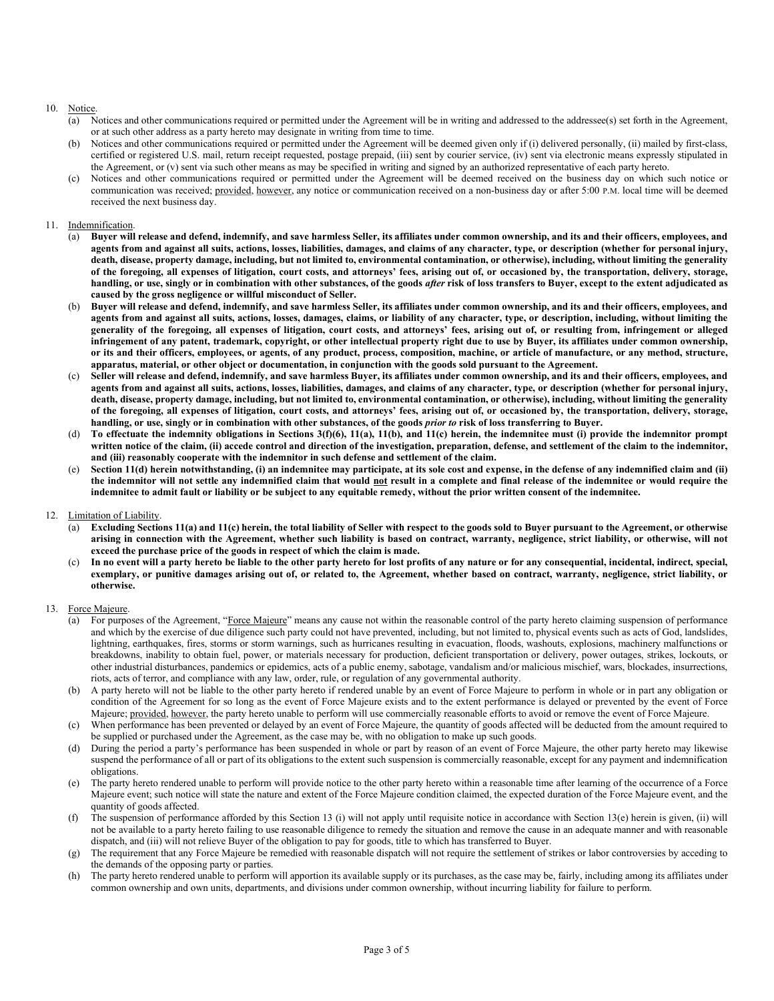# 10. Notice.

- (a) Notices and other communications required or permitted under the Agreement will be in writing and addressed to the addressee(s) set forth in the Agreement, or at such other address as a party hereto may designate in writing from time to time.
- (b) Notices and other communications required or permitted under the Agreement will be deemed given only if (i) delivered personally, (ii) mailed by first-class, certified or registered U.S. mail, return receipt requested, postage prepaid, (iii) sent by courier service, (iv) sent via electronic means expressly stipulated in the Agreement, or (v) sent via such other means as may be specified in writing and signed by an authorized representative of each party hereto.
- (c) Notices and other communications required or permitted under the Agreement will be deemed received on the business day on which such notice or communication was received; provided, however, any notice or communication received on a non-business day or after 5:00 P.M. local time will be deemed received the next business day.

### 11. Indemnification.

- (a) Buyer will release and defend, indemnify, and save harmless Seller, its affiliates under common ownership, and its and their officers, employees, and agents from and against all suits, actions, losses, liabilities, damages, and claims of any character, type, or description (whether for personal injury, death, disease, property damage, including, but not limited to, environmental contamination, or otherwise), including, without limiting the generality of the foregoing, all expenses of litigation, court costs, and attorneys' fees, arising out of, or occasioned by, the transportation, delivery, storage, handling, or use, singly or in combination with other substances, of the goods after risk of loss transfers to Buyer, except to the extent adjudicated as caused by the gross negligence or willful misconduct of Seller.
- (b) Buyer will release and defend, indemnify, and save harmless Seller, its affiliates under common ownership, and its and their officers, employees, and agents from and against all suits, actions, losses, damages, claims, or liability of any character, type, or description, including, without limiting the generality of the foregoing, all expenses of litigation, court costs, and attorneys' fees, arising out of, or resulting from, infringement or alleged infringement of any patent, trademark, copyright, or other intellectual property right due to use by Buyer, its affiliates under common ownership, or its and their officers, employees, or agents, of any product, process, composition, machine, or article of manufacture, or any method, structure, apparatus, material, or other object or documentation, in conjunction with the goods sold pursuant to the Agreement.
- Seller will release and defend, indemnify, and save harmless Buyer, its affiliates under common ownership, and its and their officers, employees, and agents from and against all suits, actions, losses, liabilities, damages, and claims of any character, type, or description (whether for personal injury, death, disease, property damage, including, but not limited to, environmental contamination, or otherwise), including, without limiting the generality of the foregoing, all expenses of litigation, court costs, and attorneys' fees, arising out of, or occasioned by, the transportation, delivery, storage, handling, or use, singly or in combination with other substances, of the goods prior to risk of loss transferring to Buyer.
- (d) To effectuate the indemnity obligations in Sections 3(f)(6), 11(a), 11(b), and 11(c) herein, the indemnitee must (i) provide the indemnitor prompt written notice of the claim, (ii) accede control and direction of the investigation, preparation, defense, and settlement of the claim to the indemnitor, and (iii) reasonably cooperate with the indemnitor in such defense and settlement of the claim.
- Section 11(d) herein notwithstanding, (i) an indemnitee may participate, at its sole cost and expense, in the defense of any indemnified claim and (ii) the indemnitor will not settle any indemnified claim that would not result in a complete and final release of the indemnitee or would require the indemnitee to admit fault or liability or be subject to any equitable remedy, without the prior written consent of the indemnitee.
- 12. Limitation of Liability.
	- Excluding Sections 11(a) and 11(c) herein, the total liability of Seller with respect to the goods sold to Buyer pursuant to the Agreement, or otherwise arising in connection with the Agreement, whether such liability is based on contract, warranty, negligence, strict liability, or otherwise, will not exceed the purchase price of the goods in respect of which the claim is made.
	- (c) In no event will a party hereto be liable to the other party hereto for lost profits of any nature or for any consequential, incidental, indirect, special, exemplary, or punitive damages arising out of, or related to, the Agreement, whether based on contract, warranty, negligence, strict liability, or otherwise.

#### 13. Force Majeure.

- For purposes of the Agreement, "Force Majeure" means any cause not within the reasonable control of the party hereto claiming suspension of performance and which by the exercise of due diligence such party could not have prevented, including, but not limited to, physical events such as acts of God, landslides, lightning, earthquakes, fires, storms or storm warnings, such as hurricanes resulting in evacuation, floods, washouts, explosions, machinery malfunctions or breakdowns, inability to obtain fuel, power, or materials necessary for production, deficient transportation or delivery, power outages, strikes, lockouts, or other industrial disturbances, pandemics or epidemics, acts of a public enemy, sabotage, vandalism and/or malicious mischief, wars, blockades, insurrections, riots, acts of terror, and compliance with any law, order, rule, or regulation of any governmental authority.
- (b) A party hereto will not be liable to the other party hereto if rendered unable by an event of Force Majeure to perform in whole or in part any obligation or condition of the Agreement for so long as the event of Force Majeure exists and to the extent performance is delayed or prevented by the event of Force Majeure; provided, however, the party hereto unable to perform will use commercially reasonable efforts to avoid or remove the event of Force Majeure.
- (c) When performance has been prevented or delayed by an event of Force Majeure, the quantity of goods affected will be deducted from the amount required to be supplied or purchased under the Agreement, as the case may be, with no obligation to make up such goods.
- (d) During the period a party's performance has been suspended in whole or part by reason of an event of Force Majeure, the other party hereto may likewise suspend the performance of all or part of its obligations to the extent such suspension is commercially reasonable, except for any payment and indemnification obligations.
- (e) The party hereto rendered unable to perform will provide notice to the other party hereto within a reasonable time after learning of the occurrence of a Force Majeure event; such notice will state the nature and extent of the Force Majeure condition claimed, the expected duration of the Force Majeure event, and the quantity of goods affected.
- (f) The suspension of performance afforded by this Section 13 (i) will not apply until requisite notice in accordance with Section 13(e) herein is given, (ii) will not be available to a party hereto failing to use reasonable diligence to remedy the situation and remove the cause in an adequate manner and with reasonable dispatch, and (iii) will not relieve Buyer of the obligation to pay for goods, title to which has transferred to Buyer.
- (g) The requirement that any Force Majeure be remedied with reasonable dispatch will not require the settlement of strikes or labor controversies by acceding to the demands of the opposing party or parties.
- (h) The party hereto rendered unable to perform will apportion its available supply or its purchases, as the case may be, fairly, including among its affiliates under common ownership and own units, departments, and divisions under common ownership, without incurring liability for failure to perform.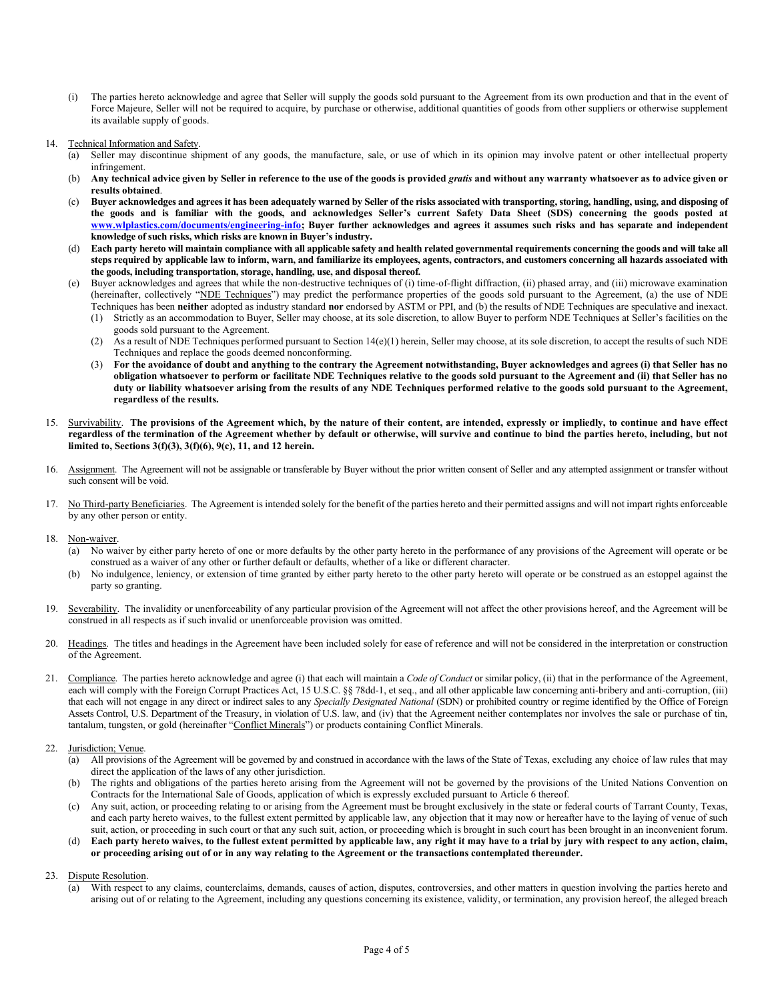- (i) The parties hereto acknowledge and agree that Seller will supply the goods sold pursuant to the Agreement from its own production and that in the event of Force Majeure, Seller will not be required to acquire, by purchase or otherwise, additional quantities of goods from other suppliers or otherwise supplement its available supply of goods.
- 14. Technical Information and Safety.
	- (a) Seller may discontinue shipment of any goods, the manufacture, sale, or use of which in its opinion may involve patent or other intellectual property infringement.
	- (b) Any technical advice given by Seller in reference to the use of the goods is provided gratis and without any warranty whatsoever as to advice given or results obtained.
	- (c) Buyer acknowledges and agrees it has been adequately warned by Seller of the risks associated with transporting, storing, handling, using, and disposing of the goods and is familiar with the goods, and acknowledges Seller's current Safety Data Sheet (SDS) concerning the goods posted at www.wlplastics.com/documents/engineering-info; Buyer further acknowledges and agrees it assumes such risks and has separate and independent knowledge of such risks, which risks are known in Buyer's industry.
	- (d) Each party hereto will maintain compliance with all applicable safety and health related governmental requirements concerning the goods and will take all steps required by applicable law to inform, warn, and familiarize its employees, agents, contractors, and customers concerning all hazards associated with the goods, including transportation, storage, handling, use, and disposal thereof.
	- (e) Buyer acknowledges and agrees that while the non-destructive techniques of (i) time-of-flight diffraction, (ii) phased array, and (iii) microwave examination (hereinafter, collectively "NDE Techniques") may predict the performance properties of the goods sold pursuant to the Agreement, (a) the use of NDE Techniques has been neither adopted as industry standard nor endorsed by ASTM or PPI, and (b) the results of NDE Techniques are speculative and inexact.
		- (1) Strictly as an accommodation to Buyer, Seller may choose, at its sole discretion, to allow Buyer to perform NDE Techniques at Seller's facilities on the goods sold pursuant to the Agreement.
		- (2) As a result of NDE Techniques performed pursuant to Section 14(e)(1) herein, Seller may choose, at its sole discretion, to accept the results of such NDE Techniques and replace the goods deemed nonconforming.
		- (3) For the avoidance of doubt and anything to the contrary the Agreement notwithstanding, Buyer acknowledges and agrees (i) that Seller has no obligation whatsoever to perform or facilitate NDE Techniques relative to the goods sold pursuant to the Agreement and (ii) that Seller has no duty or liability whatsoever arising from the results of any NDE Techniques performed relative to the goods sold pursuant to the Agreement, regardless of the results.
- 15. Survivability. The provisions of the Agreement which, by the nature of their content, are intended, expressly or impliedly, to continue and have effect regardless of the termination of the Agreement whether by default or otherwise, will survive and continue to bind the parties hereto, including, but not limited to, Sections 3(f)(3), 3(f)(6), 9(c), 11, and 12 herein.
- 16. Assignment. The Agreement will not be assignable or transferable by Buyer without the prior written consent of Seller and any attempted assignment or transfer without such consent will be void.
- 17. No Third-party Beneficiaries. The Agreement is intended solely for the benefit of the parties hereto and their permitted assigns and will not impart rights enforceable by any other person or entity.
- 18. Non-waiver.
	- (a) No waiver by either party hereto of one or more defaults by the other party hereto in the performance of any provisions of the Agreement will operate or be construed as a waiver of any other or further default or defaults, whether of a like or different character.
	- (b) No indulgence, leniency, or extension of time granted by either party hereto to the other party hereto will operate or be construed as an estoppel against the party so granting.
- 19. Severability. The invalidity or unenforceability of any particular provision of the Agreement will not affect the other provisions hereof, and the Agreement will be construed in all respects as if such invalid or unenforceable provision was omitted.
- 20. Headings. The titles and headings in the Agreement have been included solely for ease of reference and will not be considered in the interpretation or construction of the Agreement.
- 21. Compliance. The parties hereto acknowledge and agree (i) that each will maintain a Code of Conduct or similar policy, (ii) that in the performance of the Agreement, each will comply with the Foreign Corrupt Practices Act, 15 U.S.C. §§ 78dd-1, et seq., and all other applicable law concerning anti-bribery and anti-corruption, (iii) that each will not engage in any direct or indirect sales to any Specially Designated National (SDN) or prohibited country or regime identified by the Office of Foreign Assets Control, U.S. Department of the Treasury, in violation of U.S. law, and (iv) that the Agreement neither contemplates nor involves the sale or purchase of tin, tantalum, tungsten, or gold (hereinafter "Conflict Minerals") or products containing Conflict Minerals.
- 22. Jurisdiction; Venue.
	- (a) All provisions of the Agreement will be governed by and construed in accordance with the laws of the State of Texas, excluding any choice of law rules that may direct the application of the laws of any other jurisdiction.
	- (b) The rights and obligations of the parties hereto arising from the Agreement will not be governed by the provisions of the United Nations Convention on Contracts for the International Sale of Goods, application of which is expressly excluded pursuant to Article 6 thereof.
	- (c) Any suit, action, or proceeding relating to or arising from the Agreement must be brought exclusively in the state or federal courts of Tarrant County, Texas, and each party hereto waives, to the fullest extent permitted by applicable law, any objection that it may now or hereafter have to the laying of venue of such suit, action, or proceeding in such court or that any such suit, action, or proceeding which is brought in such court has been brought in an inconvenient forum.
	- (d) Each party hereto waives, to the fullest extent permitted by applicable law, any right it may have to a trial by jury with respect to any action, claim, or proceeding arising out of or in any way relating to the Agreement or the transactions contemplated thereunder.
- 23. Dispute Resolution.
	- With respect to any claims, counterclaims, demands, causes of action, disputes, controversies, and other matters in question involving the parties hereto and arising out of or relating to the Agreement, including any questions concerning its existence, validity, or termination, any provision hereof, the alleged breach